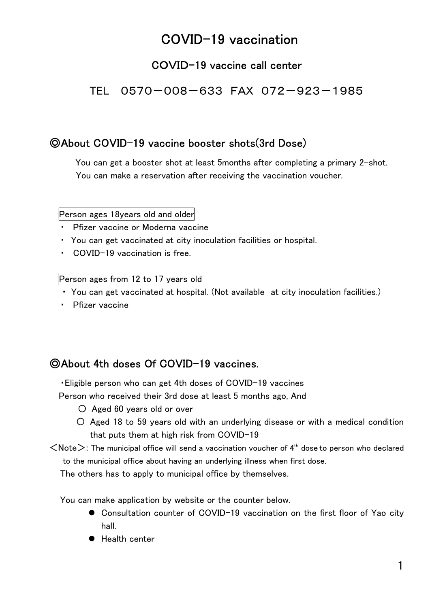# COVID-19 vaccination

#### COVID-19 vaccine call center

TEL 0570-008-633 FAX 072-923-1985

#### ◎About COVID-19 vaccine booster shots(3rd Dose)

 You can get a booster shot at least 5months after completing a primary 2-shot. You can make a reservation after receiving the vaccination voucher.

Person ages 18years old and older

- ・ Pfizer vaccine or Moderna vaccine
- ・ You can get vaccinated at city inoculation facilities or hospital.
- COVID-19 vaccination is free.

Person ages from 12 to 17 years old

- ・ You can get vaccinated at hospital. (Not available at city inoculation facilities.)
- ・ Pfizer vaccine

#### ◎About 4th doses Of COVID-19 vaccines.

・Eligible person who can get 4th doses of COVID-19 vaccines

Person who received their 3rd dose at least 5 months ago, And

- 〇 Aged 60 years old or over
- 〇 Aged 18 to 59 years old with an underlying disease or with a medical condition that puts them at high risk from COVID-19
- $\langle$ Note $\rangle$ : The municipal office will send a vaccination voucher of 4<sup>th</sup> dose to person who declared to the municipal office about having an underlying illness when first dose.

The others has to apply to municipal office by themselves.

You can make application by website or the counter below.

- Consultation counter of COVID-19 vaccination on the first floor of Yao city hall.
- Health center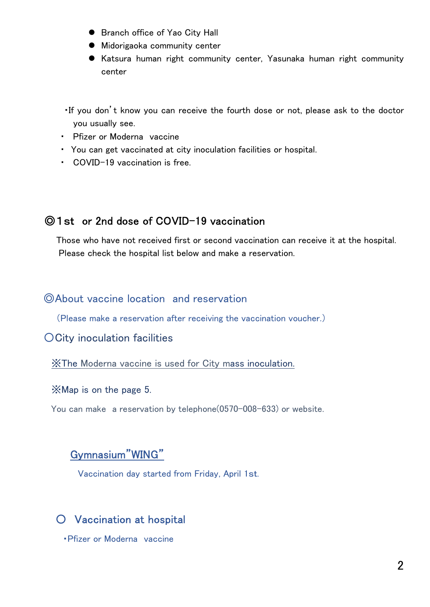- **•** Branch office of Yao City Hall
- $\bullet$  Midorigaoka community center
- Katsura human right community center, Yasunaka human right community center
- ・If you don't know you can receive the fourth dose or not, please ask to the doctor you usually see.
- ・ Pfizer or Moderna vaccine
- ・ You can get vaccinated at city inoculation facilities or hospital.
- ・ COVID-19 vaccination is free.

#### ◎1st or 2nd dose of COVID-19 vaccination

Those who have not received first or second vaccination can receive it at the hospital. Please check the hospital list below and make a reservation.

#### ◎About vaccine location and reservation

(Please make a reservation after receiving the vaccination voucher.)

#### 〇City inoculation facilities

※The Moderna vaccine is used for City mass inoculation.

#### ※Map is on the page 5.

You can make a reservation by telephone(0570-008-633) or website.

#### Gymnasium"WING"

Vaccination day started from Friday, April 1st.

#### 〇 Vaccination at hospital

・Pfizer or Moderna vaccine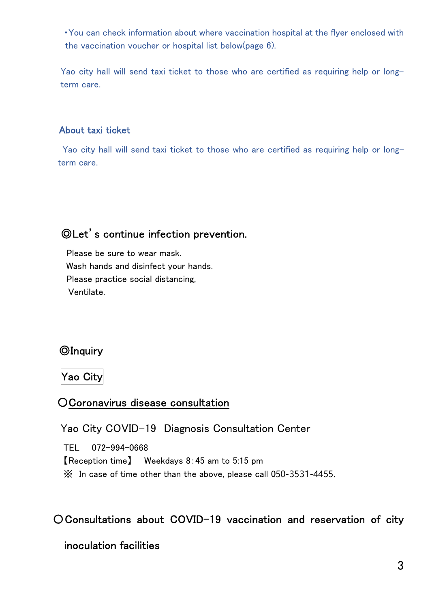・You can check information about where vaccination hospital at the flyer enclosed with the vaccination voucher or hospital list below(page 6).

Yao city hall will send taxi ticket to those who are certified as requiring help or longterm care.

#### About taxi ticket

Yao city hall will send taxi ticket to those who are certified as requiring help or longterm care.

# ◎Let's continue infection prevention.

Please be sure to wear mask. Wash hands and disinfect your hands. Please practice social distancing, Ventilate.

## ◎Inquiry

Yao City

## 〇Coronavirus disease consultation

Yao City COVID-19 Diagnosis Consultation Center

TEL 072-994-0668 【Reception time】 Weekdays 8:45 am to 5:15 pm ※ In case of time other than the above, please call 050-3531-4455.

## 〇Consultations about COVID-19 vaccination and reservation of city

#### inoculation facilities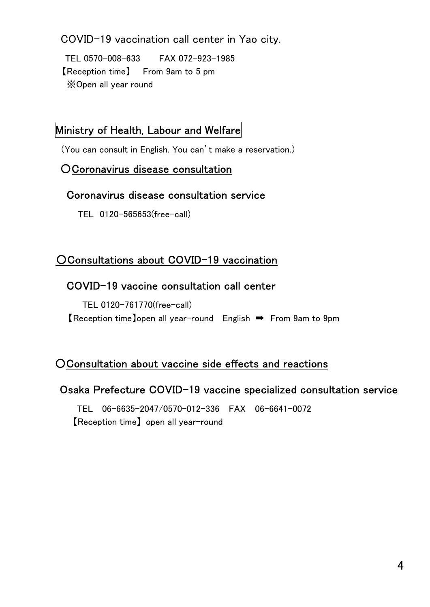COVID-19 vaccination call center in Yao city.

TEL 0570-008-633 FAX 072-923-1985 【Reception time】 From 9am to 5 pm ※Open all year round

#### Ministry of Health, Labour and Welfare

(You can consult in English. You can't make a reservation.)

#### 〇Coronavirus disease consultation

#### Coronavirus disease consultation service

TEL 0120-565653(free-call)

# 〇Consultations about COVID-19 vaccination

## COVID-19 vaccine consultation call center

TEL 0120-761770(free-call) 【Reception time】open all year-round English ➡ From 9am to 9pm

## 〇Consultation about vaccine side effects and reactions

## Osaka Prefecture COVID-19 vaccine specialized consultation service

TEL 06-6635-2047/0570-012-336 FAX 06-6641-0072 【Reception time】 open all year-round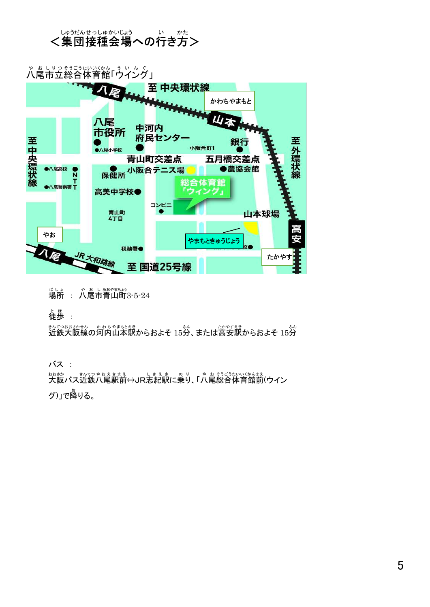#### <集団接種会場への行き方> しゅうだん せっしゅ かいじょう い かた

や お し り つ そうごう う い ん ぐ たい<u>くかん。ういんぐ</u><br>体育館「ウイング」 八尾 市立 総合 」 至 中央環状線 かわちやまもと 山本 八尾 中河内 市役所 府民センター 至中央環状線 銀行 至外環状線 小阪合町1 ●八尾小学校 青山町交差点 五月橋交差点 ● 小阪合テニス場 ●八尾高校 ●農協会館 Ñ 丁<br>T●八尾警察署丁 体育館 高美中学校● バ コンビニ 青山町<br>4丁目  $\bullet$ 山本球場 やお Ŧ. やまもときゅうじょう 税務署● 【尾 たかやす 至国道25号線  $\mathbf{r}$ 

<sub>ばしょ</sub> ゃぁし<sub>あやまょう</sub><br>場所 : 八尾市青山町3-5-24

と ほ<br>**徒歩** :

近鉄 きんてつ 大阪 おおさか 線 せんの河内 か わ ち 山本駅 やまもとえき からおよそ 15分 ふん 、または高安 たかやす 駅 えき からおよそ 15分 ふん

バス :

<u>おおお。まいてっちょまえ。</u> ↓まぇま のり、「ゃぉもううないいかんまぇ<br>大阪バス近鉄八尾駅前⇔JR志紀駅に乗り、「八尾総合体育館前(ウイン グ)」で降 お りる。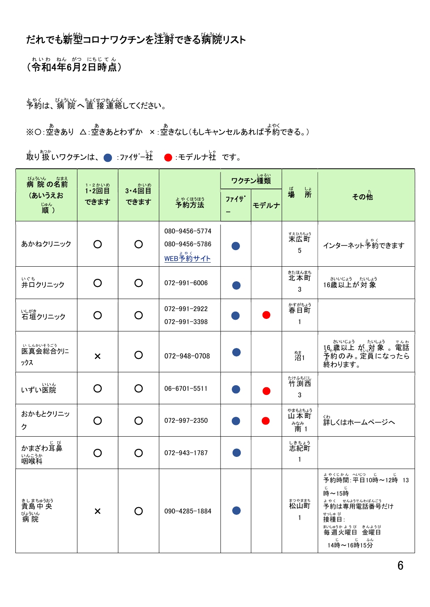# だれでも新塑コロナワクチンを淫射できる病院リスト

(令和 れ い わ ねんが? にちじてん<br>**4年6月2日時点)** じ て ん )

よやく びょういん ちょくせつれんらく<br>予約は、病 院 へ 直 接 連絡してください。

※○:空きあり △:空きあとわずか ×:空きなし(もしキャンセルあれば予約できる。)

取 と り 扱 あつか いワクチンは、 :ファイザー社 し ゃ :モデルナ社 し ゃ です。

| びょういん なまえ<br>病院の名前                       | 1·2かいめ                    | 3·4回目              |                                                   | ワクチン種類 |      |                                         |                                                                                                                                                                          |
|------------------------------------------|---------------------------|--------------------|---------------------------------------------------|--------|------|-----------------------------------------|--------------------------------------------------------------------------------------------------------------------------------------------------------------------------|
| (あいうえお<br>"顺)                            | $1.2$ 回目<br>できます          | できます               | まゃくほうほう                                           | ファイサ゛  | モデルナ | ば場<br>端                                 | その他                                                                                                                                                                      |
| あかねクリニック                                 | O                         | $\Omega$           | 080-9456-5774<br>080-9456-5786<br><u>WEB予約サイト</u> |        |      | <sub>技品誌</sub><br><b>末広町</b><br>5       | インターネット予約できます                                                                                                                                                            |
| ぃぐち<br>井口クリニック                           | O                         | O                  | 072-991-6006                                      |        |      | <sub>きたほんまち</sub><br>北本町<br>3           | さいじょう たいしょう<br>16歳以上が対象                                                                                                                                                  |
| いがき<br>石垣クリニック                           | O                         | O                  | 072-991-2922<br>072-991-3398                      |        |      | ゕすがちょう<br>春日町<br>1                      |                                                                                                                                                                          |
| いいかいもう。<br>ックス                           | $\boldsymbol{\mathsf{x}}$ | $\Omega$           | 072-948-0708                                      |        |      | 。<br>沼1                                 | 予約のみ。定員になったら<br>終わります。                                                                                                                                                   |
| いずい医院                                    | O                         | O                  | $06 - 6701 - 5511$                                |        |      | たけふちにし<br>竹渕西<br>3                      |                                                                                                                                                                          |
| おかもとクリニッ<br>ク                            | ∩                         | O                  | 072-997-2350                                      |        |      | やまもとちょう<br>山本町<br><sup>みなみ</sup><br>南 1 | < <sub>ゎ</sub><br>詳しくはホームページへ                                                                                                                                            |
| かまざわ耳鼻<br>いんこうか<br>咽喉科                   | ∩                         | O                  | 072-943-1787                                      |        |      | しきちょう<br>志紀町<br>$\mathbf{1}$            |                                                                                                                                                                          |
| きしまちゅうおう<br>貴島中 央<br>びょういん<br><b>病</b> 院 | $\boldsymbol{\mathsf{x}}$ | $\left( \ \right)$ | 090-4285-1884                                     |        |      | まつやままち<br>松山町<br>$\mathbf{1}$           | ょゃくじゕん へいじっ じっし じ<br>予約時間:平日10時~12時 13<br>じ<br>じ<br>時~15時<br>よやく せんようでんわばんごう<br>予約は専用電話番号だけ<br>せっしゅ び<br>接種日:<br>まいしゅうか ようび きんようび<br>毎 週 火曜日 金曜日<br>じ じ ふん<br>14時~16時15分 |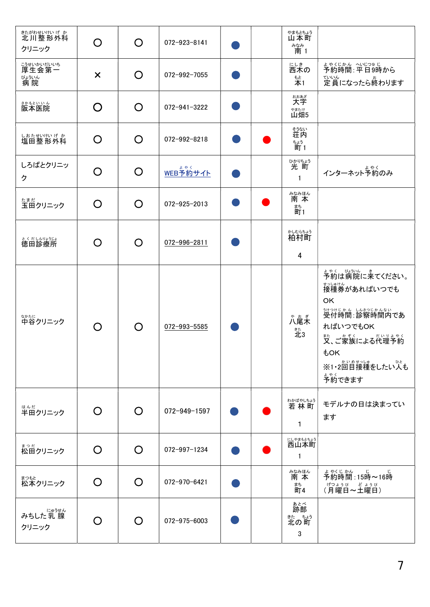| <sub>きたがわせいけい げ か<br/>北川整形外科</sub><br>クリニック          | ◯                         | O        | 072-923-8141 |  | やまもとちょう<br>山本町<br><sup>みなみ</sup><br>南 1      |                                                                                                                                                                                                                             |
|------------------------------------------------------|---------------------------|----------|--------------|--|----------------------------------------------|-----------------------------------------------------------------------------------------------------------------------------------------------------------------------------------------------------------------------------|
| <sub>こうせいかいだいいち</sub><br>厚生会第一<br>びょういん<br><b>病院</b> | $\boldsymbol{\mathsf{x}}$ | O        | 072-992-7055 |  | <sub>にしき</sub><br>西木の<br><sub>もと</sub><br>本1 | ょゃくじかん へいじつ9 じ<br>予約時間 : 平日9時から<br><sub>ていん</sub><br>定員になったら終わります                                                                                                                                                           |
| 。。。。。。。<br>阪本医院                                      | O                         | O        | 072-941-3222 |  | おおあざ<br>大字<br>**たけ<br>山畑5                    |                                                                                                                                                                                                                             |
| しおたせいけい げ か<br>塩田整形外科                                | O                         | O        | 072-992-8218 |  | <sub>登ない</sub><br>荘内<br><sub>ちょう</sub><br>町1 |                                                                                                                                                                                                                             |
| しろばとクリニッ<br>ク                                        | ∩                         | O        | WEB予約サイト     |  | ひかりちょう<br>光町<br>1                            | ィンターネット予約のみ                                                                                                                                                                                                                 |
| たまだ<br>玉田クリニック                                       | O                         | O        | 072-925-2013 |  | みなみほん<br>南本<br>まち<br>町1                      |                                                                                                                                                                                                                             |
| とくだしんりょうじょ<br>徳田診療所                                  | O                         | O        | 072-996-2811 |  | <sub>かしむらちょう</sub><br><b>柏村町</b><br>4        |                                                                                                                                                                                                                             |
| なかたに<br>中谷クリニック                                      | $\bigcap$                 | O        | 072-993-5585 |  | ゃ。<br>八尾木<br>託3                              | まゃく、 <sub>び</sub> いん<br>予約は病院に来てください。<br><sub>せっしゅけん</sub><br>接種券があればいつでも<br>OK<br><sub>うけっけじかん しんをつじかんない</sub><br>受付時間:診察時間内であ<br>ればいつでもOK<br>また、ご家族による代理予約<br><b><i><u>tok</u></i></b><br>※1・2回目接種をしたい人も<br>よやく<br>予約できます |
| はんだ<br>半田クリニック                                       | O                         | O        | 072-949-1597 |  | わかばやしちょう<br>若林町<br>1                         | モデルナの日は決まってい<br>ます                                                                                                                                                                                                          |
| まっ <sub>だ</sub><br>松田クリニック                           | $\Omega$                  | O        | 072-997-1234 |  | <sub>にやまもとちょう</sub><br>西山本町<br>$\mathbf{1}$  |                                                                                                                                                                                                                             |
| まっもと<br>松本クリニック                                      | O                         | O        | 072-970-6421 |  | みなみほん<br>南 本<br>まち<br>町4                     | ょゃくじゕん じ じ<br>予約時間:15時~16時<br><sub>げつょうび</sub> どょうび<br>(月曜日~土曜日)                                                                                                                                                            |
| <sub>にゅうせん</sub><br>みちした 乳 腺<br>クリニック                |                           | $\Omega$ | 072-975-6003 |  | ぁとべ<br>跡部<br><sub>またの町</sub><br>3            |                                                                                                                                                                                                                             |